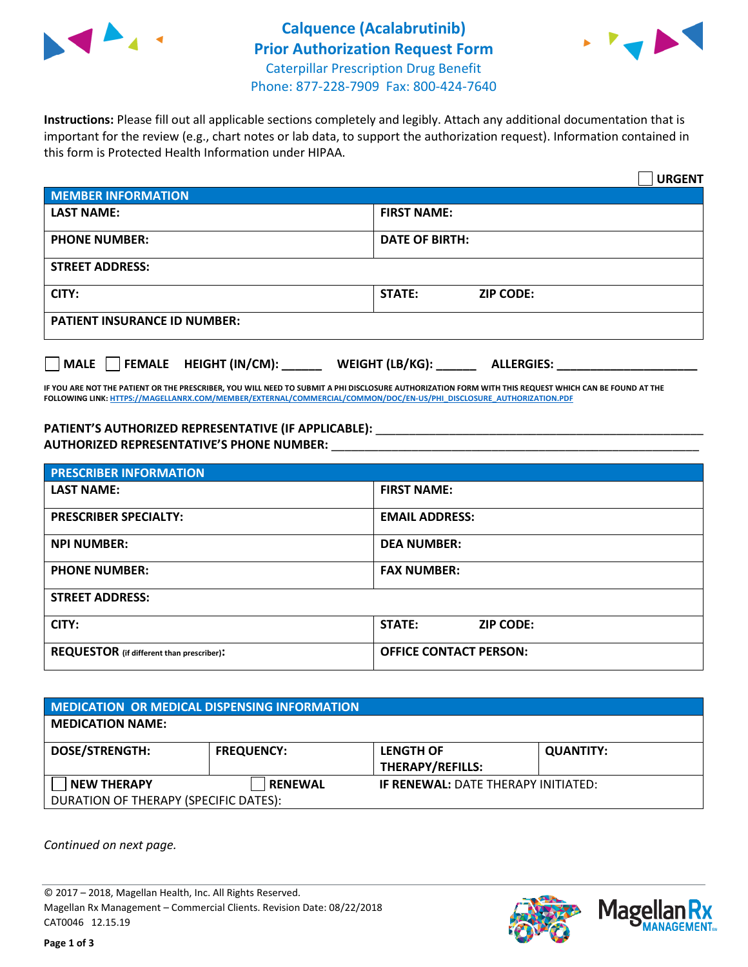



**Instructions:** Please fill out all applicable sections completely and legibly. Attach any additional documentation that is important for the review (e.g., chart notes or lab data, to support the authorization request). Information contained in this form is Protected Health Information under HIPAA.

|                                              | <b>URGENT</b>                        |  |  |  |
|----------------------------------------------|--------------------------------------|--|--|--|
| <b>MEMBER INFORMATION</b>                    |                                      |  |  |  |
| <b>LAST NAME:</b>                            | <b>FIRST NAME:</b>                   |  |  |  |
| <b>PHONE NUMBER:</b>                         | <b>DATE OF BIRTH:</b>                |  |  |  |
| <b>STREET ADDRESS:</b>                       |                                      |  |  |  |
| CITY:                                        | <b>STATE:</b><br><b>ZIP CODE:</b>    |  |  |  |
| <b>PATIENT INSURANCE ID NUMBER:</b>          |                                      |  |  |  |
| $\Box$ FEMALE HEIGHT (IN/CM):<br><b>MALE</b> | WEIGHT (LB/KG):<br><b>ALLERGIES:</b> |  |  |  |

**IF YOU ARE NOT THE PATIENT OR THE PRESCRIBER, YOU WILL NEED TO SUBMIT A PHI DISCLOSURE AUTHORIZATION FORM WITH THIS REQUEST WHICH CAN BE FOUND AT THE FOLLOWING LINK[: HTTPS://MAGELLANRX.COM/MEMBER/EXTERNAL/COMMERCIAL/COMMON/DOC/EN-US/PHI\\_DISCLOSURE\\_AUTHORIZATION.PDF](https://magellanrx.com/member/external/commercial/common/doc/en-us/PHI_Disclosure_Authorization.pdf)**

PATIENT'S AUTHORIZED REPRESENTATIVE (IF APPLICABLE): \_\_\_\_\_\_\_\_\_\_\_\_\_\_\_\_\_\_\_\_\_\_\_\_\_\_\_ **AUTHORIZED REPRESENTATIVE'S PHONE NUMBER:** \_\_\_\_\_\_\_\_\_\_\_\_\_\_\_\_\_\_\_\_\_\_\_\_\_\_\_\_\_\_\_\_\_\_\_\_\_\_\_\_\_\_\_\_\_\_\_\_\_\_\_\_\_\_\_

| <b>PRESCRIBER INFORMATION</b>             |                               |  |  |  |
|-------------------------------------------|-------------------------------|--|--|--|
| <b>LAST NAME:</b>                         | <b>FIRST NAME:</b>            |  |  |  |
| <b>PRESCRIBER SPECIALTY:</b>              | <b>EMAIL ADDRESS:</b>         |  |  |  |
| <b>NPI NUMBER:</b>                        | <b>DEA NUMBER:</b>            |  |  |  |
| <b>PHONE NUMBER:</b>                      | <b>FAX NUMBER:</b>            |  |  |  |
| <b>STREET ADDRESS:</b>                    |                               |  |  |  |
| CITY:                                     | STATE:<br><b>ZIP CODE:</b>    |  |  |  |
| REQUESTOR (if different than prescriber): | <b>OFFICE CONTACT PERSON:</b> |  |  |  |

| <b>MEDICATION OR MEDICAL DISPENSING INFORMATION</b> |                   |                                            |                  |  |  |
|-----------------------------------------------------|-------------------|--------------------------------------------|------------------|--|--|
| <b>MEDICATION NAME:</b>                             |                   |                                            |                  |  |  |
| <b>DOSE/STRENGTH:</b>                               | <b>FREQUENCY:</b> | <b>LENGTH OF</b>                           | <b>QUANTITY:</b> |  |  |
|                                                     |                   | <b>THERAPY/REFILLS:</b>                    |                  |  |  |
| <b>NEW THERAPY</b>                                  | <b>RENEWAL</b>    | <b>IF RENEWAL: DATE THERAPY INITIATED:</b> |                  |  |  |
| DURATION OF THERAPY (SPECIFIC DATES):               |                   |                                            |                  |  |  |

*Continued on next page.*

© 2017 – 2018, Magellan Health, Inc. All Rights Reserved. Magellan Rx Management – Commercial Clients. Revision Date: 08/22/2018 CAT0046 12.15.19



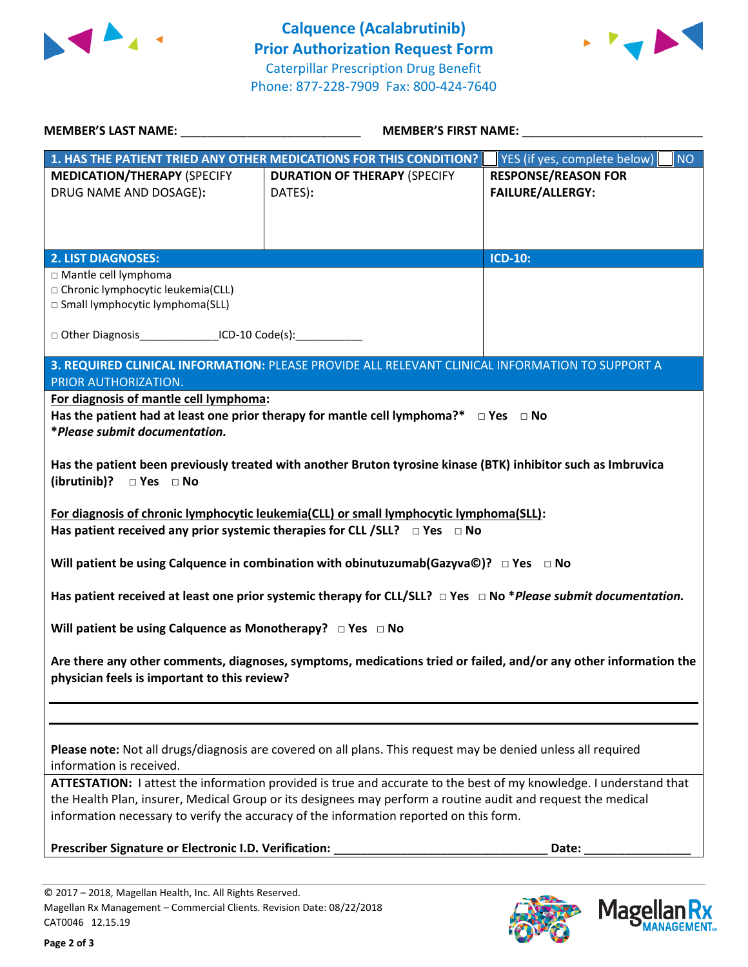



| <b>MEMBER'S LAST NAME:</b> NAME                                                                                                                                                | <b>MEMBER'S FIRST NAME:</b>                                                                                                                                                                                                                                                                                                  |                                                       |  |  |  |
|--------------------------------------------------------------------------------------------------------------------------------------------------------------------------------|------------------------------------------------------------------------------------------------------------------------------------------------------------------------------------------------------------------------------------------------------------------------------------------------------------------------------|-------------------------------------------------------|--|--|--|
|                                                                                                                                                                                | 1. HAS THE PATIENT TRIED ANY OTHER MEDICATIONS FOR THIS CONDITION?                                                                                                                                                                                                                                                           | NO<br>YES (if yes, complete below)                    |  |  |  |
| <b>MEDICATION/THERAPY (SPECIFY</b><br>DRUG NAME AND DOSAGE):                                                                                                                   | <b>DURATION OF THERAPY (SPECIFY</b><br>DATES):                                                                                                                                                                                                                                                                               | <b>RESPONSE/REASON FOR</b><br><b>FAILURE/ALLERGY:</b> |  |  |  |
| <b>2. LIST DIAGNOSES:</b>                                                                                                                                                      |                                                                                                                                                                                                                                                                                                                              | <b>ICD-10:</b>                                        |  |  |  |
| □ Mantle cell lymphoma<br>□ Chronic lymphocytic leukemia(CLL)<br>□ Small lymphocytic lymphoma(SLL)                                                                             |                                                                                                                                                                                                                                                                                                                              |                                                       |  |  |  |
|                                                                                                                                                                                | □ Other Diagnosis _________________ICD-10 Code(s): ______________                                                                                                                                                                                                                                                            |                                                       |  |  |  |
| 3. REQUIRED CLINICAL INFORMATION: PLEASE PROVIDE ALL RELEVANT CLINICAL INFORMATION TO SUPPORT A<br>PRIOR AUTHORIZATION.                                                        |                                                                                                                                                                                                                                                                                                                              |                                                       |  |  |  |
| For diagnosis of mantle cell lymphoma:                                                                                                                                         |                                                                                                                                                                                                                                                                                                                              |                                                       |  |  |  |
| Has the patient had at least one prior therapy for mantle cell lymphoma?* $\Box$ Yes $\Box$ No<br>*Please submit documentation.                                                |                                                                                                                                                                                                                                                                                                                              |                                                       |  |  |  |
| Has the patient been previously treated with another Bruton tyrosine kinase (BTK) inhibitor such as Imbruvica<br>(ibrutinib)? □ Yes □ No                                       |                                                                                                                                                                                                                                                                                                                              |                                                       |  |  |  |
| For diagnosis of chronic lymphocytic leukemia(CLL) or small lymphocytic lymphoma(SLL):<br>Has patient received any prior systemic therapies for CLL /SLL? $\Box$ Yes $\Box$ No |                                                                                                                                                                                                                                                                                                                              |                                                       |  |  |  |
|                                                                                                                                                                                | Will patient be using Calquence in combination with obinutuzumab(Gazyva©)? $\Box$ Yes $\Box$ No                                                                                                                                                                                                                              |                                                       |  |  |  |
|                                                                                                                                                                                | Has patient received at least one prior systemic therapy for CLL/SLL? $\Box$ Yes $\Box$ No *Please submit documentation.                                                                                                                                                                                                     |                                                       |  |  |  |
| Will patient be using Calquence as Monotherapy? $\Box$ Yes $\Box$ No                                                                                                           |                                                                                                                                                                                                                                                                                                                              |                                                       |  |  |  |
| Are there any other comments, diagnoses, symptoms, medications tried or failed, and/or any other information the<br>physician feels is important to this review?               |                                                                                                                                                                                                                                                                                                                              |                                                       |  |  |  |
| information is received.                                                                                                                                                       | Please note: Not all drugs/diagnosis are covered on all plans. This request may be denied unless all required                                                                                                                                                                                                                |                                                       |  |  |  |
|                                                                                                                                                                                | ATTESTATION: I attest the information provided is true and accurate to the best of my knowledge. I understand that<br>the Health Plan, insurer, Medical Group or its designees may perform a routine audit and request the medical<br>information necessary to verify the accuracy of the information reported on this form. |                                                       |  |  |  |
| Prescriber Signature or Electronic I.D. Verification:                                                                                                                          |                                                                                                                                                                                                                                                                                                                              | Date:                                                 |  |  |  |
|                                                                                                                                                                                |                                                                                                                                                                                                                                                                                                                              |                                                       |  |  |  |



**Magellar** 

**Ilan Rx<br>ANAGEMENT.**